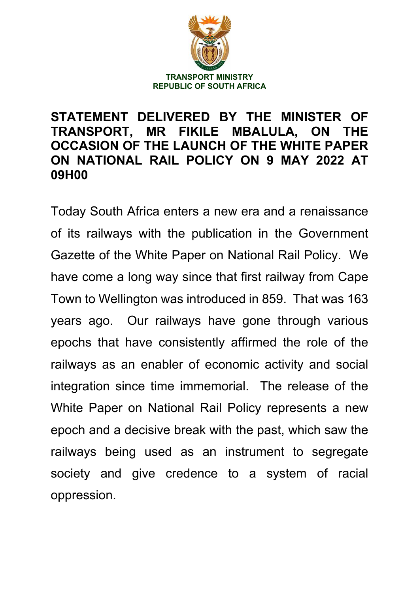

## **STATEMENT DELIVERED BY THE MINISTER OF TRANSPORT, MR FIKILE MBALULA, ON THE OCCASION OF THE LAUNCH OF THE WHITE PAPER ON NATIONAL RAIL POLICY ON 9 MAY 2022 AT 09H00**

Today South Africa enters a new era and a renaissance of its railways with the publication in the Government Gazette of the White Paper on National Rail Policy. We have come a long way since that first railway from Cape Town to Wellington was introduced in 859. That was 163 years ago. Our railways have gone through various epochs that have consistently affirmed the role of the railways as an enabler of economic activity and social integration since time immemorial. The release of the White Paper on National Rail Policy represents a new epoch and a decisive break with the past, which saw the railways being used as an instrument to segregate society and give credence to a system of racial oppression.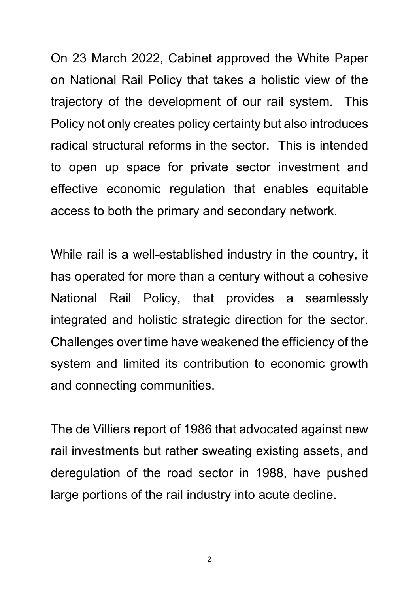On 23 March 2022, Cabinet approved the White Paper on National Rail Policy that takes a holistic view of the trajectory of the development of our rail system. This Policy not only creates policy certainty but also introduces radical structural reforms in the sector. This is intended to open up space for private sector investment and effective economic regulation that enables equitable access to both the primary and secondary network.

While rail is a well-established industry in the country, it has operated for more than a century without a cohesive National Rail Policy, that provides a seamlessly integrated and holistic strategic direction for the sector. Challenges over time have weakened the efficiency of the system and limited its contribution to economic growth and connecting communities.

The de Villiers report of 1986 that advocated against new rail investments but rather sweating existing assets, and deregulation of the road sector in 1988, have pushed large portions of the rail industry into acute decline.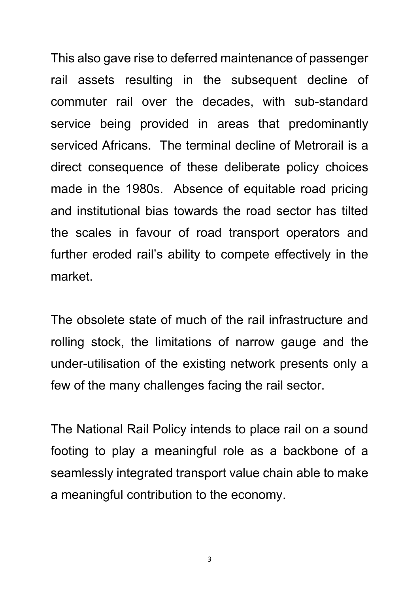This also gave rise to deferred maintenance of passenger rail assets resulting in the subsequent decline of commuter rail over the decades, with sub-standard service being provided in areas that predominantly serviced Africans. The terminal decline of Metrorail is a direct consequence of these deliberate policy choices made in the 1980s. Absence of equitable road pricing and institutional bias towards the road sector has tilted the scales in favour of road transport operators and further eroded rail's ability to compete effectively in the market.

The obsolete state of much of the rail infrastructure and rolling stock, the limitations of narrow gauge and the under-utilisation of the existing network presents only a few of the many challenges facing the rail sector.

The National Rail Policy intends to place rail on a sound footing to play a meaningful role as a backbone of a seamlessly integrated transport value chain able to make a meaningful contribution to the economy.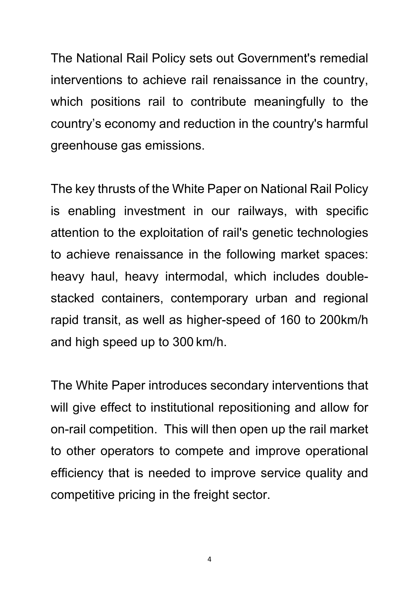The National Rail Policy sets out Government's remedial interventions to achieve rail renaissance in the country, which positions rail to contribute meaningfully to the country's economy and reduction in the country's harmful greenhouse gas emissions.

The key thrusts of the White Paper on National Rail Policy is enabling investment in our railways, with specific attention to the exploitation of rail's genetic technologies to achieve renaissance in the following market spaces: heavy haul, heavy intermodal, which includes doublestacked containers, contemporary urban and regional rapid transit, as well as higher-speed of 160 to 200km/h and high speed up to 300 km/h.

The White Paper introduces secondary interventions that will give effect to institutional repositioning and allow for on-rail competition. This will then open up the rail market to other operators to compete and improve operational efficiency that is needed to improve service quality and competitive pricing in the freight sector.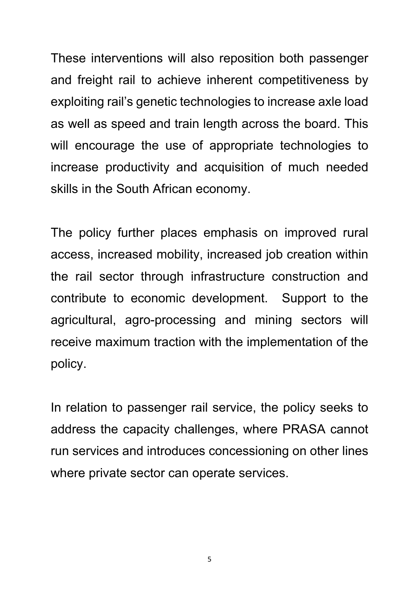These interventions will also reposition both passenger and freight rail to achieve inherent competitiveness by exploiting rail's genetic technologies to increase axle load as well as speed and train length across the board. This will encourage the use of appropriate technologies to increase productivity and acquisition of much needed skills in the South African economy.

The policy further places emphasis on improved rural access, increased mobility, increased job creation within the rail sector through infrastructure construction and contribute to economic development. Support to the agricultural, agro-processing and mining sectors will receive maximum traction with the implementation of the policy.

In relation to passenger rail service, the policy seeks to address the capacity challenges, where PRASA cannot run services and introduces concessioning on other lines where private sector can operate services.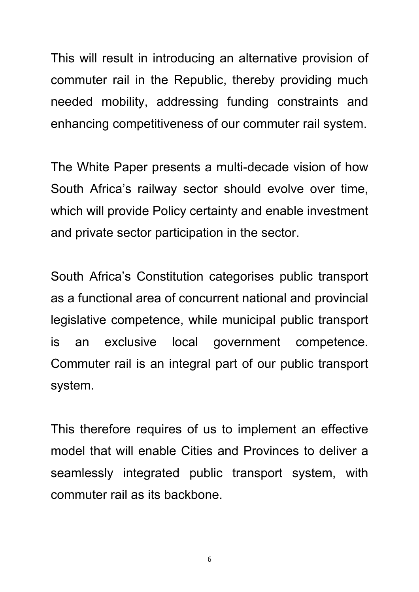This will result in introducing an alternative provision of commuter rail in the Republic, thereby providing much needed mobility, addressing funding constraints and enhancing competitiveness of our commuter rail system.

The White Paper presents a multi-decade vision of how South Africa's railway sector should evolve over time, which will provide Policy certainty and enable investment and private sector participation in the sector.

South Africa's Constitution categorises public transport as a functional area of concurrent national and provincial legislative competence, while municipal public transport is an exclusive local government competence. Commuter rail is an integral part of our public transport system.

This therefore requires of us to implement an effective model that will enable Cities and Provinces to deliver a seamlessly integrated public transport system, with commuter rail as its backbone.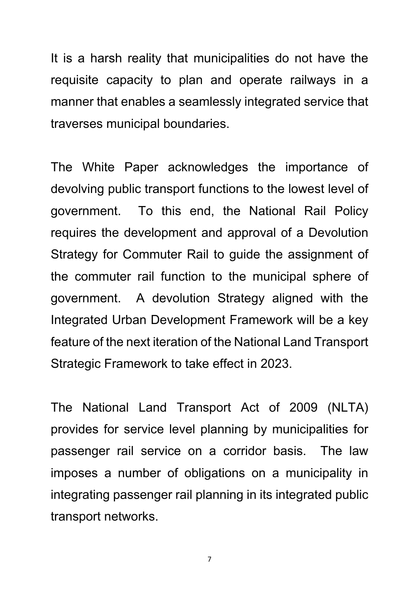It is a harsh reality that municipalities do not have the requisite capacity to plan and operate railways in a manner that enables a seamlessly integrated service that traverses municipal boundaries.

The White Paper acknowledges the importance of devolving public transport functions to the lowest level of government. To this end, the National Rail Policy requires the development and approval of a Devolution Strategy for Commuter Rail to guide the assignment of the commuter rail function to the municipal sphere of government. A devolution Strategy aligned with the Integrated Urban Development Framework will be a key feature of the next iteration of the National Land Transport Strategic Framework to take effect in 2023.

The National Land Transport Act of 2009 (NLTA) provides for service level planning by municipalities for passenger rail service on a corridor basis. The law imposes a number of obligations on a municipality in integrating passenger rail planning in its integrated public transport networks.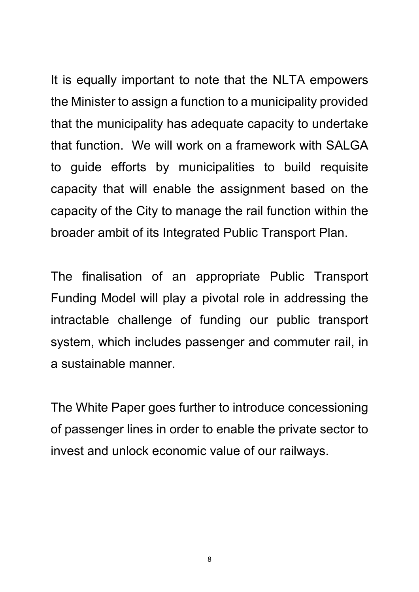It is equally important to note that the NLTA empowers the Minister to assign a function to a municipality provided that the municipality has adequate capacity to undertake that function. We will work on a framework with SALGA to guide efforts by municipalities to build requisite capacity that will enable the assignment based on the capacity of the City to manage the rail function within the broader ambit of its Integrated Public Transport Plan.

The finalisation of an appropriate Public Transport Funding Model will play a pivotal role in addressing the intractable challenge of funding our public transport system, which includes passenger and commuter rail, in a sustainable manner.

The White Paper goes further to introduce concessioning of passenger lines in order to enable the private sector to invest and unlock economic value of our railways.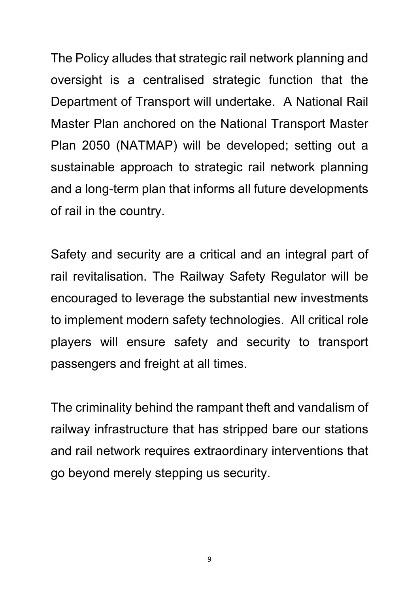The Policy alludes that strategic rail network planning and oversight is a centralised strategic function that the Department of Transport will undertake. A National Rail Master Plan anchored on the National Transport Master Plan 2050 (NATMAP) will be developed; setting out a sustainable approach to strategic rail network planning and a long-term plan that informs all future developments of rail in the country.

Safety and security are a critical and an integral part of rail revitalisation. The Railway Safety Regulator will be encouraged to leverage the substantial new investments to implement modern safety technologies. All critical role players will ensure safety and security to transport passengers and freight at all times.

The criminality behind the rampant theft and vandalism of railway infrastructure that has stripped bare our stations and rail network requires extraordinary interventions that go beyond merely stepping us security.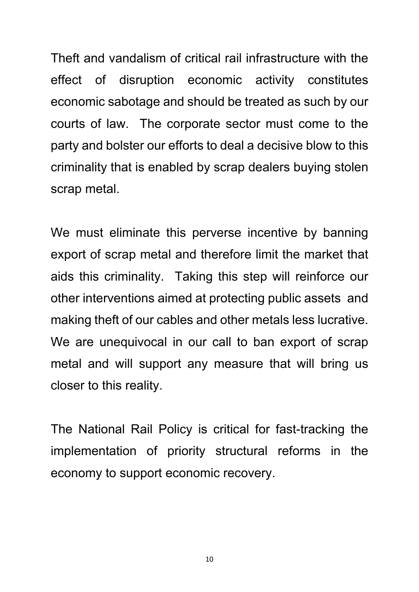Theft and vandalism of critical rail infrastructure with the effect of disruption economic activity constitutes economic sabotage and should be treated as such by our courts of law. The corporate sector must come to the party and bolster our efforts to deal a decisive blow to this criminality that is enabled by scrap dealers buying stolen scrap metal.

We must eliminate this perverse incentive by banning export of scrap metal and therefore limit the market that aids this criminality. Taking this step will reinforce our other interventions aimed at protecting public assets and making theft of our cables and other metals less lucrative. We are unequivocal in our call to ban export of scrap metal and will support any measure that will bring us closer to this reality.

The National Rail Policy is critical for fast-tracking the implementation of priority structural reforms in the economy to support economic recovery.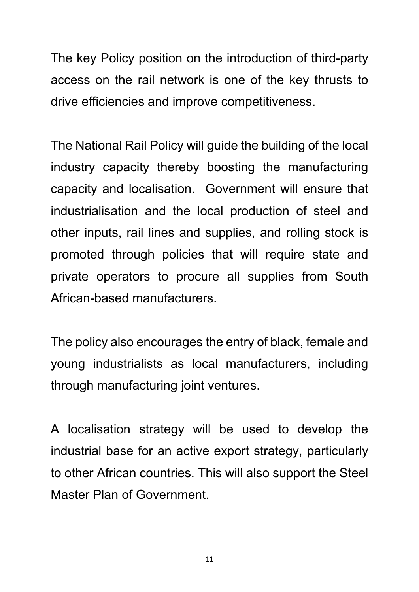The key Policy position on the introduction of third-party access on the rail network is one of the key thrusts to drive efficiencies and improve competitiveness.

The National Rail Policy will guide the building of the local industry capacity thereby boosting the manufacturing capacity and localisation. Government will ensure that industrialisation and the local production of steel and other inputs, rail lines and supplies, and rolling stock is promoted through policies that will require state and private operators to procure all supplies from South African-based manufacturers.

The policy also encourages the entry of black, female and young industrialists as local manufacturers, including through manufacturing joint ventures.

A localisation strategy will be used to develop the industrial base for an active export strategy, particularly to other African countries. This will also support the Steel Master Plan of Government.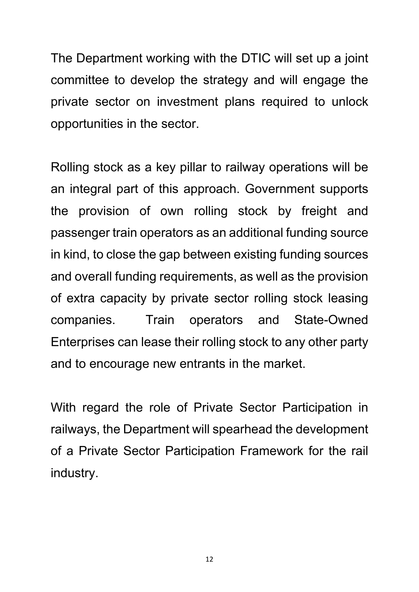The Department working with the DTIC will set up a joint committee to develop the strategy and will engage the private sector on investment plans required to unlock opportunities in the sector.

Rolling stock as a key pillar to railway operations will be an integral part of this approach. Government supports the provision of own rolling stock by freight and passenger train operators as an additional funding source in kind, to close the gap between existing funding sources and overall funding requirements, as well as the provision of extra capacity by private sector rolling stock leasing companies. Train operators and State-Owned Enterprises can lease their rolling stock to any other party and to encourage new entrants in the market.

With regard the role of Private Sector Participation in railways, the Department will spearhead the development of a Private Sector Participation Framework for the rail industry.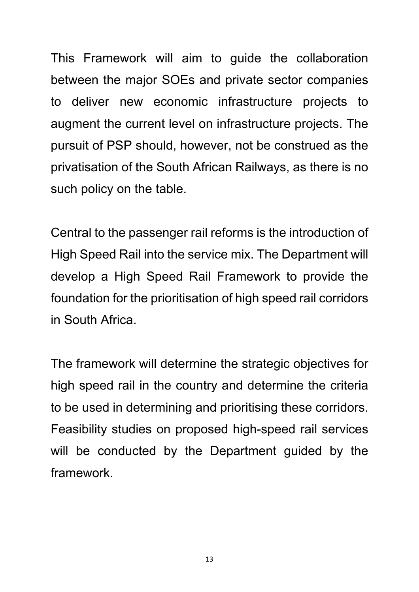This Framework will aim to guide the collaboration between the major SOEs and private sector companies to deliver new economic infrastructure projects to augment the current level on infrastructure projects. The pursuit of PSP should, however, not be construed as the privatisation of the South African Railways, as there is no such policy on the table.

Central to the passenger rail reforms is the introduction of High Speed Rail into the service mix. The Department will develop a High Speed Rail Framework to provide the foundation for the prioritisation of high speed rail corridors in South Africa.

The framework will determine the strategic objectives for high speed rail in the country and determine the criteria to be used in determining and prioritising these corridors. Feasibility studies on proposed high-speed rail services will be conducted by the Department guided by the framework.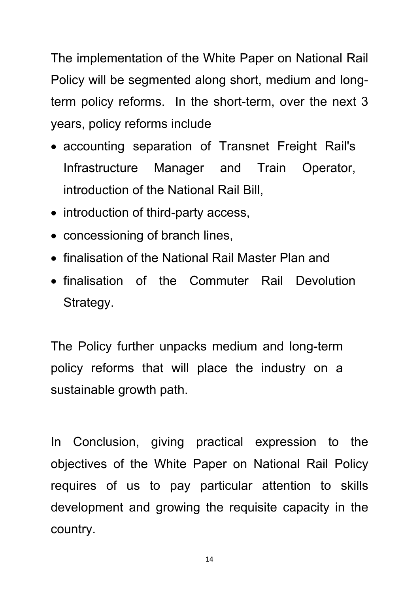The implementation of the White Paper on National Rail Policy will be segmented along short, medium and longterm policy reforms. In the short-term, over the next 3 years, policy reforms include

- accounting separation of Transnet Freight Rail's Infrastructure Manager and Train Operator, introduction of the National Rail Bill,
- introduction of third-party access,
- concessioning of branch lines,
- finalisation of the National Rail Master Plan and
- finalisation of the Commuter Rail Devolution Strategy.

The Policy further unpacks medium and long-term policy reforms that will place the industry on a sustainable growth path.

In Conclusion, giving practical expression to the objectives of the White Paper on National Rail Policy requires of us to pay particular attention to skills development and growing the requisite capacity in the country.